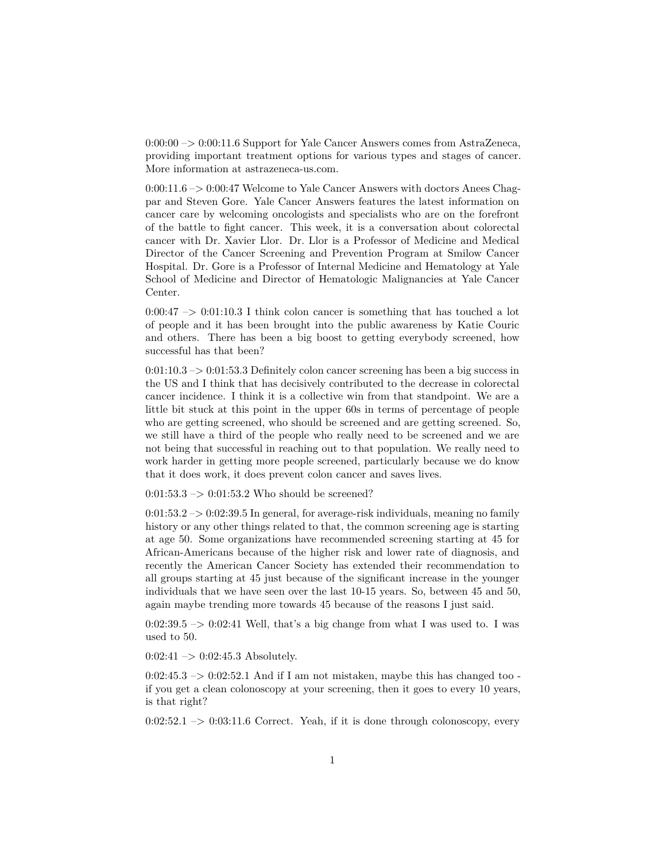0:00:00 –> 0:00:11.6 Support for Yale Cancer Answers comes from AstraZeneca, providing important treatment options for various types and stages of cancer. More information at astrazeneca-us.com.

0:00:11.6 –> 0:00:47 Welcome to Yale Cancer Answers with doctors Anees Chagpar and Steven Gore. Yale Cancer Answers features the latest information on cancer care by welcoming oncologists and specialists who are on the forefront of the battle to fight cancer. This week, it is a conversation about colorectal cancer with Dr. Xavier Llor. Dr. Llor is a Professor of Medicine and Medical Director of the Cancer Screening and Prevention Program at Smilow Cancer Hospital. Dr. Gore is a Professor of Internal Medicine and Hematology at Yale School of Medicine and Director of Hematologic Malignancies at Yale Cancer Center.

 $0:00:47 \rightarrow 0:01:10.3$  I think colon cancer is something that has touched a lot of people and it has been brought into the public awareness by Katie Couric and others. There has been a big boost to getting everybody screened, how successful has that been?

 $0:01:10.3 \rightarrow 0:01:53.3$  Definitely colon cancer screening has been a big success in the US and I think that has decisively contributed to the decrease in colorectal cancer incidence. I think it is a collective win from that standpoint. We are a little bit stuck at this point in the upper 60s in terms of percentage of people who are getting screened, who should be screened and are getting screened. So, we still have a third of the people who really need to be screened and we are not being that successful in reaching out to that population. We really need to work harder in getting more people screened, particularly because we do know that it does work, it does prevent colon cancer and saves lives.

 $0:01:53.3 \rightarrow 0:01:53.2$  Who should be screened?

 $0:01:53.2 \rightarrow 0:02:39.5$  In general, for average-risk individuals, meaning no family history or any other things related to that, the common screening age is starting at age 50. Some organizations have recommended screening starting at 45 for African-Americans because of the higher risk and lower rate of diagnosis, and recently the American Cancer Society has extended their recommendation to all groups starting at 45 just because of the significant increase in the younger individuals that we have seen over the last 10-15 years. So, between 45 and 50, again maybe trending more towards 45 because of the reasons I just said.

 $0:02:39.5 \rightarrow 0:02:41$  Well, that's a big change from what I was used to. I was used to 50.

 $0:02:41 \rightarrow 0:02:45.3$  Absolutely.

 $0:02:45.3 \rightarrow 0:02:52.1$  And if I am not mistaken, maybe this has changed too if you get a clean colonoscopy at your screening, then it goes to every 10 years, is that right?

 $0:02:52.1 \rightarrow 0:03:11.6$  Correct. Yeah, if it is done through colonoscopy, every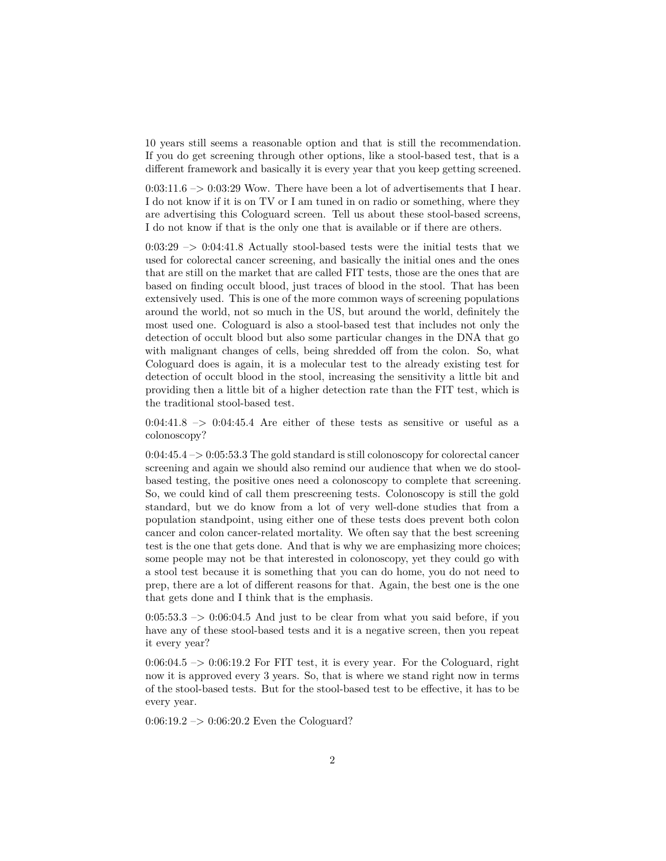10 years still seems a reasonable option and that is still the recommendation. If you do get screening through other options, like a stool-based test, that is a different framework and basically it is every year that you keep getting screened.

 $0:03:11.6 \rightarrow 0:03:29$  Wow. There have been a lot of advertisements that I hear. I do not know if it is on TV or I am tuned in on radio or something, where they are advertising this Cologuard screen. Tell us about these stool-based screens, I do not know if that is the only one that is available or if there are others.

 $0:03:29 \rightarrow 0:04:41.8$  Actually stool-based tests were the initial tests that we used for colorectal cancer screening, and basically the initial ones and the ones that are still on the market that are called FIT tests, those are the ones that are based on finding occult blood, just traces of blood in the stool. That has been extensively used. This is one of the more common ways of screening populations around the world, not so much in the US, but around the world, definitely the most used one. Cologuard is also a stool-based test that includes not only the detection of occult blood but also some particular changes in the DNA that go with malignant changes of cells, being shredded off from the colon. So, what Cologuard does is again, it is a molecular test to the already existing test for detection of occult blood in the stool, increasing the sensitivity a little bit and providing then a little bit of a higher detection rate than the FIT test, which is the traditional stool-based test.

 $0.04:41.8$  –>  $0.04:45.4$  Are either of these tests as sensitive or useful as a colonoscopy?

 $0:04:45.4 \rightarrow 0:05:53.3$  The gold standard is still colonoscopy for colorectal cancer screening and again we should also remind our audience that when we do stoolbased testing, the positive ones need a colonoscopy to complete that screening. So, we could kind of call them prescreening tests. Colonoscopy is still the gold standard, but we do know from a lot of very well-done studies that from a population standpoint, using either one of these tests does prevent both colon cancer and colon cancer-related mortality. We often say that the best screening test is the one that gets done. And that is why we are emphasizing more choices; some people may not be that interested in colonoscopy, yet they could go with a stool test because it is something that you can do home, you do not need to prep, there are a lot of different reasons for that. Again, the best one is the one that gets done and I think that is the emphasis.

 $0:05:53.3 \rightarrow 0:06:04.5$  And just to be clear from what you said before, if you have any of these stool-based tests and it is a negative screen, then you repeat it every year?

 $0.06:04.5 \rightarrow 0.06:19.2$  For FIT test, it is every year. For the Cologuard, right now it is approved every 3 years. So, that is where we stand right now in terms of the stool-based tests. But for the stool-based test to be effective, it has to be every year.

 $0:06:19.2 \rightarrow 0:06:20.2$  Even the Cologuard?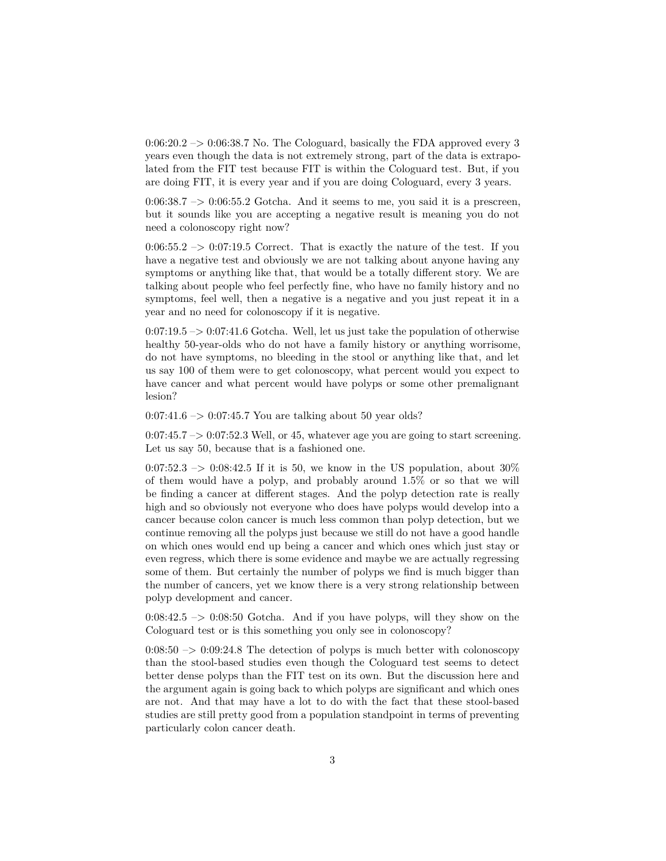$0:06:20.2 \rightarrow 0:06:38.7$  No. The Cologuard, basically the FDA approved every 3 years even though the data is not extremely strong, part of the data is extrapolated from the FIT test because FIT is within the Cologuard test. But, if you are doing FIT, it is every year and if you are doing Cologuard, every 3 years.

 $0.06:38.7 \rightarrow 0.06:55.2$  Gotcha. And it seems to me, you said it is a prescreen, but it sounds like you are accepting a negative result is meaning you do not need a colonoscopy right now?

 $0.06:55.2 \rightarrow 0.07:19.5$  Correct. That is exactly the nature of the test. If you have a negative test and obviously we are not talking about anyone having any symptoms or anything like that, that would be a totally different story. We are talking about people who feel perfectly fine, who have no family history and no symptoms, feel well, then a negative is a negative and you just repeat it in a year and no need for colonoscopy if it is negative.

 $0.07:19.5 \rightarrow 0.07:41.6$  Gotcha. Well, let us just take the population of otherwise healthy 50-year-olds who do not have a family history or anything worrisome, do not have symptoms, no bleeding in the stool or anything like that, and let us say 100 of them were to get colonoscopy, what percent would you expect to have cancer and what percent would have polyps or some other premalignant lesion?

 $0.07:41.6 \rightarrow 0.07:45.7$  You are talking about 50 year olds?

 $0:07:45.7 \rightarrow 0:07:52.3$  Well, or 45, whatever age you are going to start screening. Let us say 50, because that is a fashioned one.

0:07:52.3  $\rightarrow$  0:08:42.5 If it is 50, we know in the US population, about 30% of them would have a polyp, and probably around 1.5% or so that we will be finding a cancer at different stages. And the polyp detection rate is really high and so obviously not everyone who does have polyps would develop into a cancer because colon cancer is much less common than polyp detection, but we continue removing all the polyps just because we still do not have a good handle on which ones would end up being a cancer and which ones which just stay or even regress, which there is some evidence and maybe we are actually regressing some of them. But certainly the number of polyps we find is much bigger than the number of cancers, yet we know there is a very strong relationship between polyp development and cancer.

 $0:08:42.5$   $\rightarrow$  0:08:50 Gotcha. And if you have polyps, will they show on the Cologuard test or is this something you only see in colonoscopy?

 $0:08:50 \rightarrow 0:09:24.8$  The detection of polyps is much better with colonoscopy than the stool-based studies even though the Cologuard test seems to detect better dense polyps than the FIT test on its own. But the discussion here and the argument again is going back to which polyps are significant and which ones are not. And that may have a lot to do with the fact that these stool-based studies are still pretty good from a population standpoint in terms of preventing particularly colon cancer death.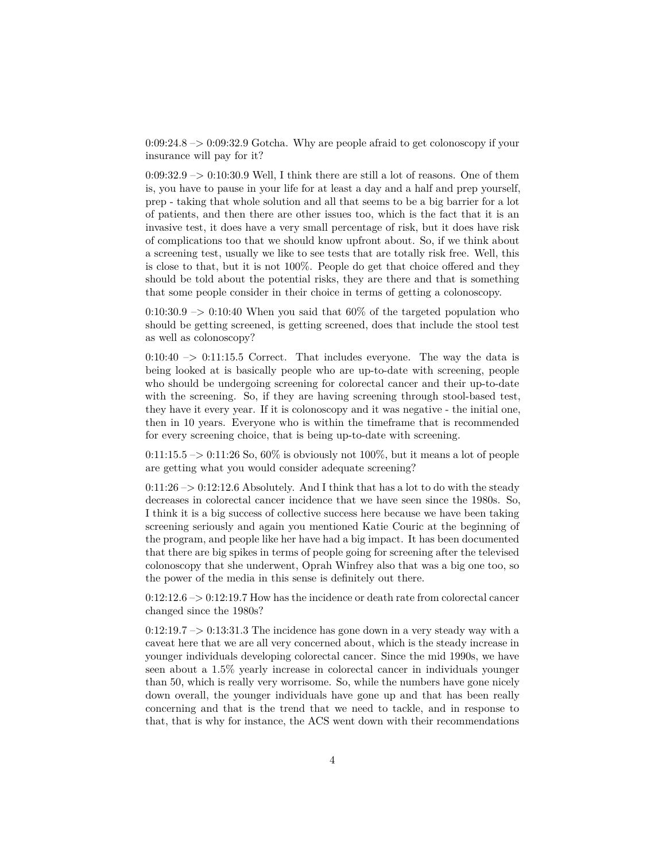0:09:24.8 –> 0:09:32.9 Gotcha. Why are people afraid to get colonoscopy if your insurance will pay for it?

 $0:09:32.9 \rightarrow 0:10:30.9$  Well, I think there are still a lot of reasons. One of them is, you have to pause in your life for at least a day and a half and prep yourself, prep - taking that whole solution and all that seems to be a big barrier for a lot of patients, and then there are other issues too, which is the fact that it is an invasive test, it does have a very small percentage of risk, but it does have risk of complications too that we should know upfront about. So, if we think about a screening test, usually we like to see tests that are totally risk free. Well, this is close to that, but it is not 100%. People do get that choice offered and they should be told about the potential risks, they are there and that is something that some people consider in their choice in terms of getting a colonoscopy.

 $0:10:30.9 \rightarrow 0:10:40$  When you said that 60% of the targeted population who should be getting screened, is getting screened, does that include the stool test as well as colonoscopy?

 $0:10:40 \rightarrow 0:11:15.5$  Correct. That includes everyone. The way the data is being looked at is basically people who are up-to-date with screening, people who should be undergoing screening for colorectal cancer and their up-to-date with the screening. So, if they are having screening through stool-based test, they have it every year. If it is colonoscopy and it was negative - the initial one, then in 10 years. Everyone who is within the timeframe that is recommended for every screening choice, that is being up-to-date with screening.

 $0:11:15.5 \rightarrow 0:11:26$  So,  $60\%$  is obviously not 100%, but it means a lot of people are getting what you would consider adequate screening?

 $0:11:26 \rightarrow 0:12:12.6$  Absolutely. And I think that has a lot to do with the steady decreases in colorectal cancer incidence that we have seen since the 1980s. So, I think it is a big success of collective success here because we have been taking screening seriously and again you mentioned Katie Couric at the beginning of the program, and people like her have had a big impact. It has been documented that there are big spikes in terms of people going for screening after the televised colonoscopy that she underwent, Oprah Winfrey also that was a big one too, so the power of the media in this sense is definitely out there.

 $0:12:12.6 \rightarrow 0:12:19.7$  How has the incidence or death rate from colorectal cancer changed since the 1980s?

 $0:12:19.7 \rightarrow 0:13:31.3$  The incidence has gone down in a very steady way with a caveat here that we are all very concerned about, which is the steady increase in younger individuals developing colorectal cancer. Since the mid 1990s, we have seen about a 1.5% yearly increase in colorectal cancer in individuals younger than 50, which is really very worrisome. So, while the numbers have gone nicely down overall, the younger individuals have gone up and that has been really concerning and that is the trend that we need to tackle, and in response to that, that is why for instance, the ACS went down with their recommendations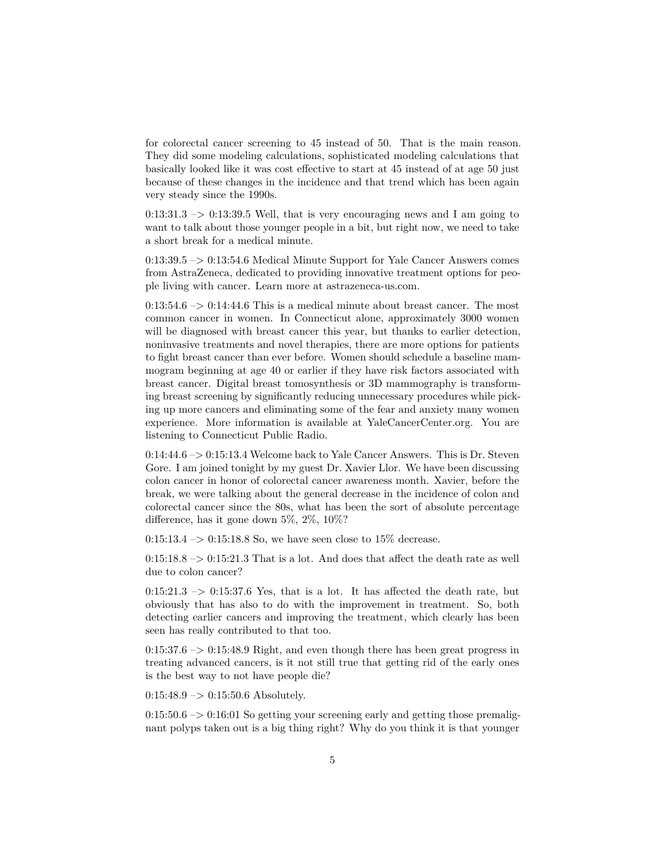for colorectal cancer screening to 45 instead of 50. That is the main reason. They did some modeling calculations, sophisticated modeling calculations that basically looked like it was cost effective to start at 45 instead of at age 50 just because of these changes in the incidence and that trend which has been again very steady since the 1990s.

 $0:13:31.3 \rightarrow 0:13:39.5$  Well, that is very encouraging news and I am going to want to talk about those younger people in a bit, but right now, we need to take a short break for a medical minute.

0:13:39.5 –> 0:13:54.6 Medical Minute Support for Yale Cancer Answers comes from AstraZeneca, dedicated to providing innovative treatment options for people living with cancer. Learn more at astrazeneca-us.com.

 $0:13:54.6 \rightarrow 0:14:44.6$  This is a medical minute about breast cancer. The most common cancer in women. In Connecticut alone, approximately 3000 women will be diagnosed with breast cancer this year, but thanks to earlier detection, noninvasive treatments and novel therapies, there are more options for patients to fight breast cancer than ever before. Women should schedule a baseline mammogram beginning at age 40 or earlier if they have risk factors associated with breast cancer. Digital breast tomosynthesis or 3D mammography is transforming breast screening by significantly reducing unnecessary procedures while picking up more cancers and eliminating some of the fear and anxiety many women experience. More information is available at YaleCancerCenter.org. You are listening to Connecticut Public Radio.

0:14:44.6 –> 0:15:13.4 Welcome back to Yale Cancer Answers. This is Dr. Steven Gore. I am joined tonight by my guest Dr. Xavier Llor. We have been discussing colon cancer in honor of colorectal cancer awareness month. Xavier, before the break, we were talking about the general decrease in the incidence of colon and colorectal cancer since the 80s, what has been the sort of absolute percentage difference, has it gone down 5%, 2%, 10%?

 $0:15:13.4 \rightarrow 0:15:18.8$  So, we have seen close to 15\% decrease.

 $0:15:18.8 \rightarrow 0:15:21.3$  That is a lot. And does that affect the death rate as well due to colon cancer?

 $0:15:21.3 \rightarrow 0:15:37.6$  Yes, that is a lot. It has affected the death rate, but obviously that has also to do with the improvement in treatment. So, both detecting earlier cancers and improving the treatment, which clearly has been seen has really contributed to that too.

 $0:15:37.6 \rightarrow 0:15:48.9$  Right, and even though there has been great progress in treating advanced cancers, is it not still true that getting rid of the early ones is the best way to not have people die?

 $0:15:48.9 \rightarrow 0:15:50.6$  Absolutely.

 $0:15:50.6 \rightarrow 0:16:01$  So getting your screening early and getting those premalignant polyps taken out is a big thing right? Why do you think it is that younger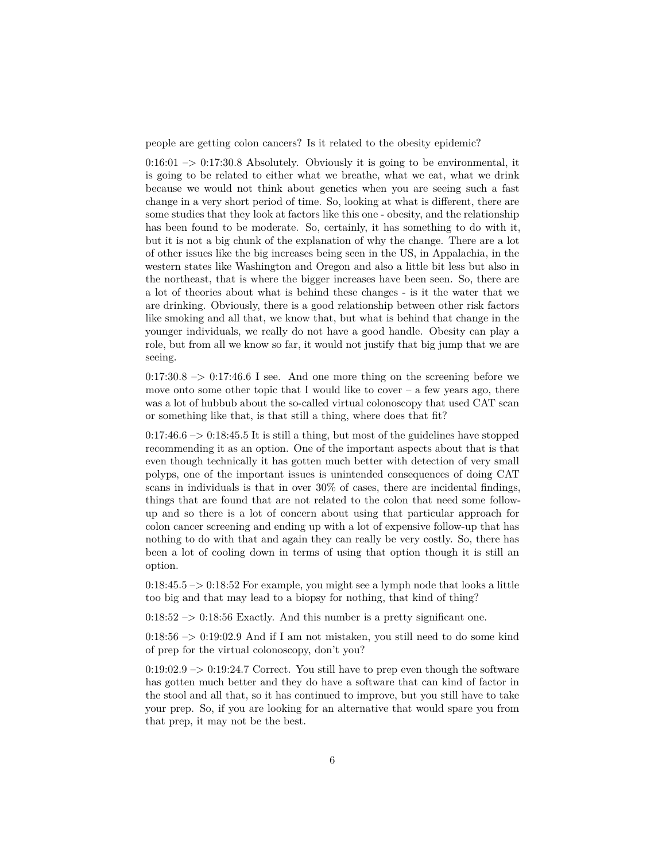people are getting colon cancers? Is it related to the obesity epidemic?

 $0:16:01 \rightarrow 0:17:30.8$  Absolutely. Obviously it is going to be environmental, it is going to be related to either what we breathe, what we eat, what we drink because we would not think about genetics when you are seeing such a fast change in a very short period of time. So, looking at what is different, there are some studies that they look at factors like this one - obesity, and the relationship has been found to be moderate. So, certainly, it has something to do with it, but it is not a big chunk of the explanation of why the change. There are a lot of other issues like the big increases being seen in the US, in Appalachia, in the western states like Washington and Oregon and also a little bit less but also in the northeast, that is where the bigger increases have been seen. So, there are a lot of theories about what is behind these changes - is it the water that we are drinking. Obviously, there is a good relationship between other risk factors like smoking and all that, we know that, but what is behind that change in the younger individuals, we really do not have a good handle. Obesity can play a role, but from all we know so far, it would not justify that big jump that we are seeing.

 $0:17:30.8 \rightarrow 0:17:46.6$  I see. And one more thing on the screening before we move onto some other topic that I would like to cover  $-$  a few years ago, there was a lot of hubbub about the so-called virtual colonoscopy that used CAT scan or something like that, is that still a thing, where does that fit?

 $0:17:46.6 \rightarrow 0:18:45.5$  It is still a thing, but most of the guidelines have stopped recommending it as an option. One of the important aspects about that is that even though technically it has gotten much better with detection of very small polyps, one of the important issues is unintended consequences of doing CAT scans in individuals is that in over 30% of cases, there are incidental findings, things that are found that are not related to the colon that need some followup and so there is a lot of concern about using that particular approach for colon cancer screening and ending up with a lot of expensive follow-up that has nothing to do with that and again they can really be very costly. So, there has been a lot of cooling down in terms of using that option though it is still an option.

 $0:18:45.5 \rightarrow 0:18:52$  For example, you might see a lymph node that looks a little too big and that may lead to a biopsy for nothing, that kind of thing?

 $0:18:52 \rightarrow 0:18:56$  Exactly. And this number is a pretty significant one.

 $0:18:56 \rightarrow 0:19:02.9$  And if I am not mistaken, you still need to do some kind of prep for the virtual colonoscopy, don't you?

 $0:19:02.9 \rightarrow 0:19:24.7$  Correct. You still have to prep even though the software has gotten much better and they do have a software that can kind of factor in the stool and all that, so it has continued to improve, but you still have to take your prep. So, if you are looking for an alternative that would spare you from that prep, it may not be the best.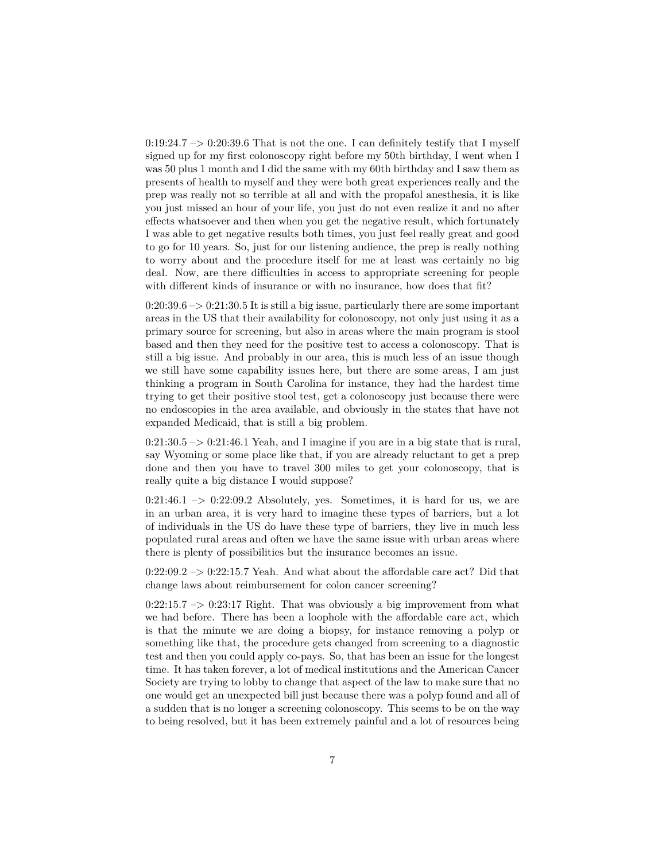$0:19:24.7 \rightarrow 0:20:39.6$  That is not the one. I can definitely testify that I myself signed up for my first colonoscopy right before my 50th birthday, I went when I was 50 plus 1 month and I did the same with my 60th birthday and I saw them as presents of health to myself and they were both great experiences really and the prep was really not so terrible at all and with the propafol anesthesia, it is like you just missed an hour of your life, you just do not even realize it and no after effects whatsoever and then when you get the negative result, which fortunately I was able to get negative results both times, you just feel really great and good to go for 10 years. So, just for our listening audience, the prep is really nothing to worry about and the procedure itself for me at least was certainly no big deal. Now, are there difficulties in access to appropriate screening for people with different kinds of insurance or with no insurance, how does that fit?

 $0:20:39.6 \rightarrow 0:21:30.5$  It is still a big issue, particularly there are some important areas in the US that their availability for colonoscopy, not only just using it as a primary source for screening, but also in areas where the main program is stool based and then they need for the positive test to access a colonoscopy. That is still a big issue. And probably in our area, this is much less of an issue though we still have some capability issues here, but there are some areas, I am just thinking a program in South Carolina for instance, they had the hardest time trying to get their positive stool test, get a colonoscopy just because there were no endoscopies in the area available, and obviously in the states that have not expanded Medicaid, that is still a big problem.

 $0:21:30.5 \rightarrow 0:21:46.1$  Yeah, and I imagine if you are in a big state that is rural, say Wyoming or some place like that, if you are already reluctant to get a prep done and then you have to travel 300 miles to get your colonoscopy, that is really quite a big distance I would suppose?

 $0:21:46.1 \rightarrow 0:22:09.2$  Absolutely, yes. Sometimes, it is hard for us, we are in an urban area, it is very hard to imagine these types of barriers, but a lot of individuals in the US do have these type of barriers, they live in much less populated rural areas and often we have the same issue with urban areas where there is plenty of possibilities but the insurance becomes an issue.

 $0:22:09.2 \rightarrow 0:22:15.7$  Yeah. And what about the affordable care act? Did that change laws about reimbursement for colon cancer screening?

 $0:22:15.7 \rightarrow 0:23:17$  Right. That was obviously a big improvement from what we had before. There has been a loophole with the affordable care act, which is that the minute we are doing a biopsy, for instance removing a polyp or something like that, the procedure gets changed from screening to a diagnostic test and then you could apply co-pays. So, that has been an issue for the longest time. It has taken forever, a lot of medical institutions and the American Cancer Society are trying to lobby to change that aspect of the law to make sure that no one would get an unexpected bill just because there was a polyp found and all of a sudden that is no longer a screening colonoscopy. This seems to be on the way to being resolved, but it has been extremely painful and a lot of resources being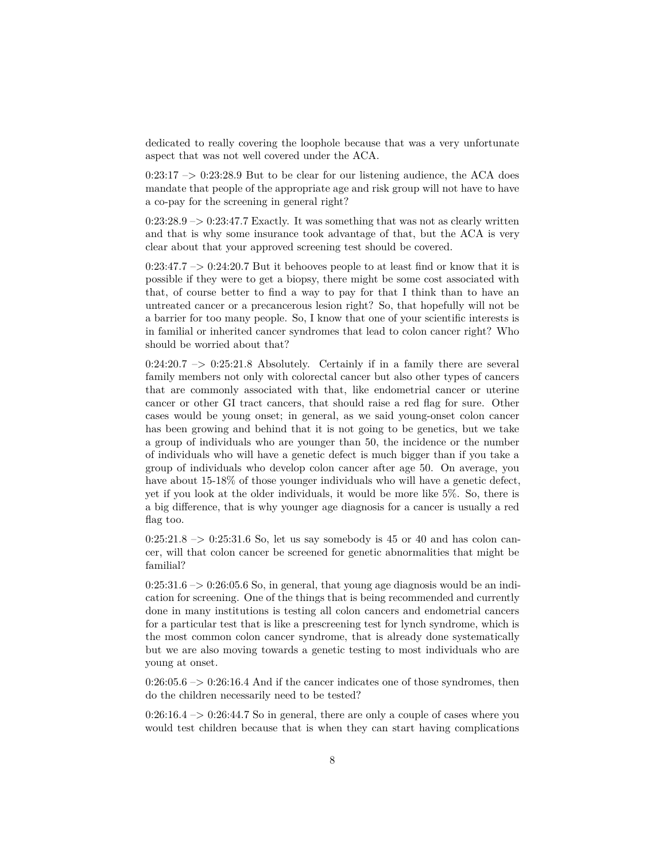dedicated to really covering the loophole because that was a very unfortunate aspect that was not well covered under the ACA.

 $0:23:17 \rightarrow 0:23:28.9$  But to be clear for our listening audience, the ACA does mandate that people of the appropriate age and risk group will not have to have a co-pay for the screening in general right?

 $0:23:28.9 \rightarrow 0:23:47.7$  Exactly. It was something that was not as clearly written and that is why some insurance took advantage of that, but the ACA is very clear about that your approved screening test should be covered.

 $0:23:47.7 \rightarrow 0:24:20.7$  But it behooves people to at least find or know that it is possible if they were to get a biopsy, there might be some cost associated with that, of course better to find a way to pay for that I think than to have an untreated cancer or a precancerous lesion right? So, that hopefully will not be a barrier for too many people. So, I know that one of your scientific interests is in familial or inherited cancer syndromes that lead to colon cancer right? Who should be worried about that?

 $0:24:20.7 \rightarrow 0:25:21.8$  Absolutely. Certainly if in a family there are several family members not only with colorectal cancer but also other types of cancers that are commonly associated with that, like endometrial cancer or uterine cancer or other GI tract cancers, that should raise a red flag for sure. Other cases would be young onset; in general, as we said young-onset colon cancer has been growing and behind that it is not going to be genetics, but we take a group of individuals who are younger than 50, the incidence or the number of individuals who will have a genetic defect is much bigger than if you take a group of individuals who develop colon cancer after age 50. On average, you have about 15-18% of those younger individuals who will have a genetic defect, yet if you look at the older individuals, it would be more like 5%. So, there is a big difference, that is why younger age diagnosis for a cancer is usually a red flag too.

 $0:25:21.8 \rightarrow 0:25:31.6$  So, let us say somebody is 45 or 40 and has colon cancer, will that colon cancer be screened for genetic abnormalities that might be familial?

 $0:25:31.6 \rightarrow 0:26:05.6$  So, in general, that young age diagnosis would be an indication for screening. One of the things that is being recommended and currently done in many institutions is testing all colon cancers and endometrial cancers for a particular test that is like a prescreening test for lynch syndrome, which is the most common colon cancer syndrome, that is already done systematically but we are also moving towards a genetic testing to most individuals who are young at onset.

 $0:26:05.6 \rightarrow 0:26:16.4$  And if the cancer indicates one of those syndromes, then do the children necessarily need to be tested?

 $0:26:16.4 \rightarrow 0:26:44.7$  So in general, there are only a couple of cases where you would test children because that is when they can start having complications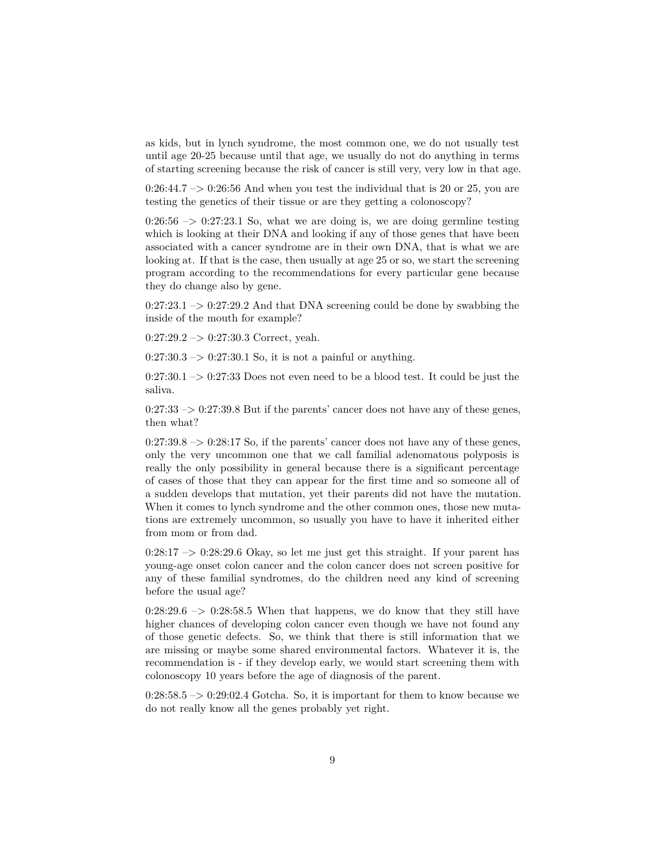as kids, but in lynch syndrome, the most common one, we do not usually test until age 20-25 because until that age, we usually do not do anything in terms of starting screening because the risk of cancer is still very, very low in that age.

 $0:26:44.7 \rightarrow 0:26:56$  And when you test the individual that is 20 or 25, you are testing the genetics of their tissue or are they getting a colonoscopy?

 $0:26:56 \rightarrow 0:27:23.1$  So, what we are doing is, we are doing germline testing which is looking at their DNA and looking if any of those genes that have been associated with a cancer syndrome are in their own DNA, that is what we are looking at. If that is the case, then usually at age 25 or so, we start the screening program according to the recommendations for every particular gene because they do change also by gene.

 $0:27:23.1 \rightarrow 0:27:29.2$  And that DNA screening could be done by swabbing the inside of the mouth for example?

 $0:27:29.2 \rightarrow 0:27:30.3$  Correct, yeah.

 $0:27:30.3 \rightarrow 0:27:30.1$  So, it is not a painful or anything.

 $0:27:30.1 \rightarrow 0:27:33$  Does not even need to be a blood test. It could be just the saliva.

 $0:27:33 \rightarrow 0:27:39.8$  But if the parents' cancer does not have any of these genes, then what?

 $0:27:39.8 \rightarrow 0:28:17$  So, if the parents' cancer does not have any of these genes, only the very uncommon one that we call familial adenomatous polyposis is really the only possibility in general because there is a significant percentage of cases of those that they can appear for the first time and so someone all of a sudden develops that mutation, yet their parents did not have the mutation. When it comes to lynch syndrome and the other common ones, those new mutations are extremely uncommon, so usually you have to have it inherited either from mom or from dad.

 $0:28:17 \rightarrow 0:28:29.6$  Okay, so let me just get this straight. If your parent has young-age onset colon cancer and the colon cancer does not screen positive for any of these familial syndromes, do the children need any kind of screening before the usual age?

 $0:28:29.6 \rightarrow 0:28:58.5$  When that happens, we do know that they still have higher chances of developing colon cancer even though we have not found any of those genetic defects. So, we think that there is still information that we are missing or maybe some shared environmental factors. Whatever it is, the recommendation is - if they develop early, we would start screening them with colonoscopy 10 years before the age of diagnosis of the parent.

 $0:28:58.5 \rightarrow 0:29:02.4$  Gotcha. So, it is important for them to know because we do not really know all the genes probably yet right.